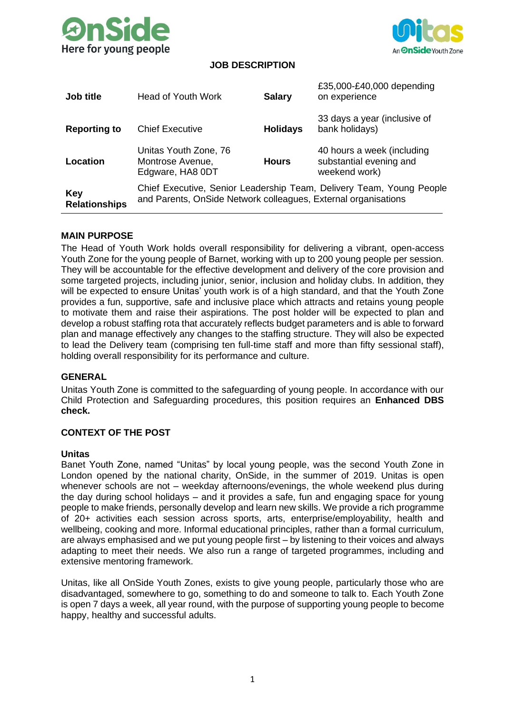



## **JOB DESCRIPTION**

| <b>Job title</b>            | <b>Head of Youth Work</b>                                                                                                              | <b>Salary</b>   | £35,000-£40,000 depending<br>on experience                             |
|-----------------------------|----------------------------------------------------------------------------------------------------------------------------------------|-----------------|------------------------------------------------------------------------|
| <b>Reporting to</b>         | <b>Chief Executive</b>                                                                                                                 | <b>Holidays</b> | 33 days a year (inclusive of<br>bank holidays)                         |
| Location                    | Unitas Youth Zone, 76<br>Montrose Avenue,<br>Edgware, HA8 0DT                                                                          | <b>Hours</b>    | 40 hours a week (including<br>substantial evening and<br>weekend work) |
| Key<br><b>Relationships</b> | Chief Executive, Senior Leadership Team, Delivery Team, Young People<br>and Parents, OnSide Network colleagues, External organisations |                 |                                                                        |

#### **MAIN PURPOSE**

The Head of Youth Work holds overall responsibility for delivering a vibrant, open-access Youth Zone for the young people of Barnet, working with up to 200 young people per session. They will be accountable for the effective development and delivery of the core provision and some targeted projects, including junior, senior, inclusion and holiday clubs. In addition, they will be expected to ensure Unitas' youth work is of a high standard, and that the Youth Zone provides a fun, supportive, safe and inclusive place which attracts and retains young people to motivate them and raise their aspirations. The post holder will be expected to plan and develop a robust staffing rota that accurately reflects budget parameters and is able to forward plan and manage effectively any changes to the staffing structure. They will also be expected to lead the Delivery team (comprising ten full-time staff and more than fifty sessional staff), holding overall responsibility for its performance and culture.

#### **GENERAL**

Unitas Youth Zone is committed to the safeguarding of young people. In accordance with our Child Protection and Safeguarding procedures, this position requires an **Enhanced DBS check.**

#### **CONTEXT OF THE POST**

#### **Unitas**

Banet Youth Zone, named "Unitas" by local young people, was the second Youth Zone in London opened by the national charity, OnSide, in the summer of 2019. Unitas is open whenever schools are not – weekday afternoons/evenings, the whole weekend plus during the day during school holidays – and it provides a safe, fun and engaging space for young people to make friends, personally develop and learn new skills. We provide a rich programme of 20+ activities each session across sports, arts, enterprise/employability, health and wellbeing, cooking and more. Informal educational principles, rather than a formal curriculum, are always emphasised and we put young people first – by listening to their voices and always adapting to meet their needs. We also run a range of targeted programmes, including and extensive mentoring framework.

Unitas, like all OnSide Youth Zones, exists to give young people, particularly those who are disadvantaged, somewhere to go, something to do and someone to talk to. Each Youth Zone is open 7 days a week, all year round, with the purpose of supporting young people to become happy, healthy and successful adults.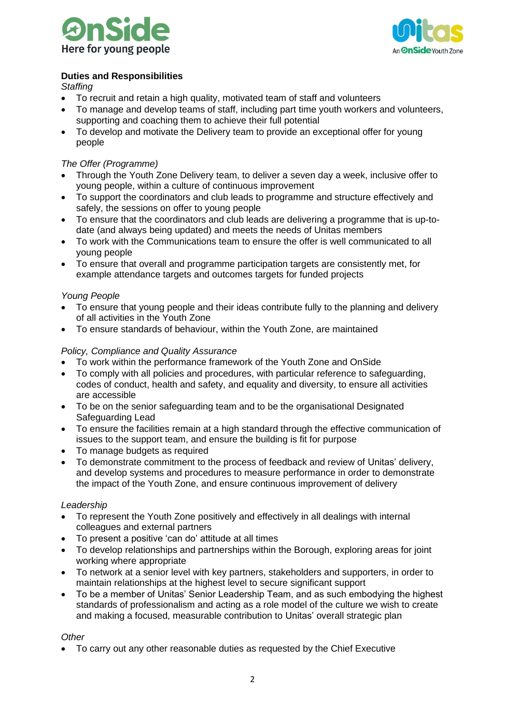



# **Duties and Responsibilities**

*Staffing*

- To recruit and retain a high quality, motivated team of staff and volunteers
- To manage and develop teams of staff, including part time youth workers and volunteers, supporting and coaching them to achieve their full potential
- To develop and motivate the Delivery team to provide an exceptional offer for young people

## *The Offer (Programme)*

- Through the Youth Zone Delivery team, to deliver a seven day a week, inclusive offer to young people, within a culture of continuous improvement
- To support the coordinators and club leads to programme and structure effectively and safely, the sessions on offer to young people
- To ensure that the coordinators and club leads are delivering a programme that is up-todate (and always being updated) and meets the needs of Unitas members
- To work with the Communications team to ensure the offer is well communicated to all young people
- To ensure that overall and programme participation targets are consistently met, for example attendance targets and outcomes targets for funded projects

## *Young People*

- To ensure that young people and their ideas contribute fully to the planning and delivery of all activities in the Youth Zone
- To ensure standards of behaviour, within the Youth Zone, are maintained

## *Policy, Compliance and Quality Assurance*

- To work within the performance framework of the Youth Zone and OnSide
- To comply with all policies and procedures, with particular reference to safeguarding, codes of conduct, health and safety, and equality and diversity, to ensure all activities are accessible
- To be on the senior safeguarding team and to be the organisational Designated Safeguarding Lead
- To ensure the facilities remain at a high standard through the effective communication of issues to the support team, and ensure the building is fit for purpose
- To manage budgets as required
- To demonstrate commitment to the process of feedback and review of Unitas' delivery, and develop systems and procedures to measure performance in order to demonstrate the impact of the Youth Zone, and ensure continuous improvement of delivery

### *Leadership*

- To represent the Youth Zone positively and effectively in all dealings with internal colleagues and external partners
- To present a positive 'can do' attitude at all times
- To develop relationships and partnerships within the Borough, exploring areas for joint working where appropriate
- To network at a senior level with key partners, stakeholders and supporters, in order to maintain relationships at the highest level to secure significant support
- To be a member of Unitas' Senior Leadership Team, and as such embodying the highest standards of professionalism and acting as a role model of the culture we wish to create and making a focused, measurable contribution to Unitas' overall strategic plan

### *Other*

• To carry out any other reasonable duties as requested by the Chief Executive